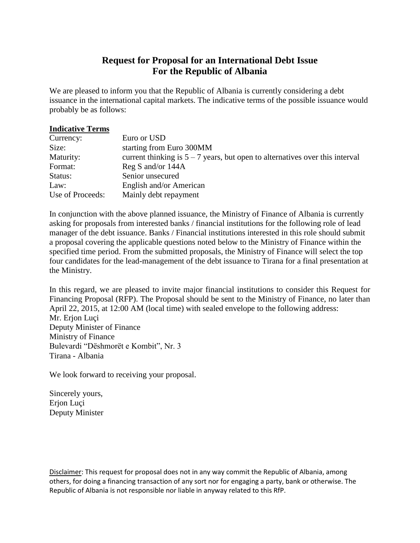# **Request for Proposal for an International Debt Issue For the Republic of Albania**

We are pleased to inform you that the Republic of Albania is currently considering a debt issuance in the international capital markets. The indicative terms of the possible issuance would probably be as follows:

#### **Indicative Terms**

| Currency:        | Euro or USD                                                                    |
|------------------|--------------------------------------------------------------------------------|
| Size:            | starting from Euro 300MM                                                       |
| Maturity:        | current thinking is $5 - 7$ years, but open to alternatives over this interval |
| Format:          | Reg S and/or 144A                                                              |
| Status:          | Senior unsecured                                                               |
| Law:             | English and/or American                                                        |
| Use of Proceeds: | Mainly debt repayment                                                          |

In conjunction with the above planned issuance, the Ministry of Finance of Albania is currently asking for proposals from interested banks / financial institutions for the following role of lead manager of the debt issuance. Banks / Financial institutions interested in this role should submit a proposal covering the applicable questions noted below to the Ministry of Finance within the specified time period. From the submitted proposals, the Ministry of Finance will select the top four candidates for the lead-management of the debt issuance to Tirana for a final presentation at the Ministry.

In this regard, we are pleased to invite major financial institutions to consider this Request for Financing Proposal (RFP). The Proposal should be sent to the Ministry of Finance, no later than April 22, 2015, at 12:00 AM (local time) with sealed envelope to the following address: Mr. Erjon Luçi Deputy Minister of Finance Ministry of Finance Bulevardi "Dëshmorët e Kombit", Nr. 3 Tirana - Albania

We look forward to receiving your proposal.

Sincerely yours, Erjon Luçi Deputy Minister

Disclaimer: This request for proposal does not in any way commit the Republic of Albania, among others, for doing a financing transaction of any sort nor for engaging a party, bank or otherwise. The Republic of Albania is not responsible nor liable in anyway related to this RfP.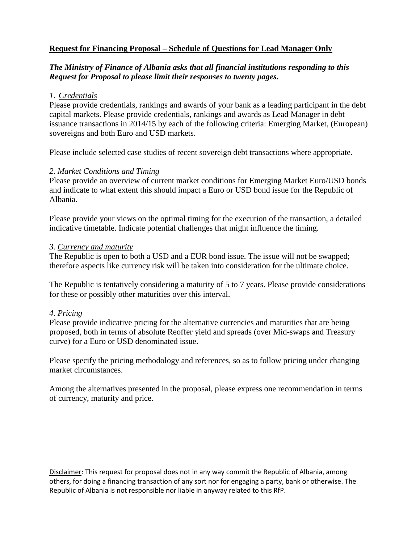# **Request for Financing Proposal – Schedule of Questions for Lead Manager Only**

# *The Ministry of Finance of Albania asks that all financial institutions responding to this Request for Proposal to please limit their responses to twenty pages.*

# *1. Credentials*

Please provide credentials, rankings and awards of your bank as a leading participant in the debt capital markets. Please provide credentials, rankings and awards as Lead Manager in debt issuance transactions in 2014/15 by each of the following criteria: Emerging Market, (European) sovereigns and both Euro and USD markets.

Please include selected case studies of recent sovereign debt transactions where appropriate.

#### *2. Market Conditions and Timing*

Please provide an overview of current market conditions for Emerging Market Euro/USD bonds and indicate to what extent this should impact a Euro or USD bond issue for the Republic of Albania.

Please provide your views on the optimal timing for the execution of the transaction, a detailed indicative timetable. Indicate potential challenges that might influence the timing.

#### *3. Currency and maturity*

The Republic is open to both a USD and a EUR bond issue. The issue will not be swapped; therefore aspects like currency risk will be taken into consideration for the ultimate choice.

The Republic is tentatively considering a maturity of 5 to 7 years. Please provide considerations for these or possibly other maturities over this interval.

# *4. Pricing*

Please provide indicative pricing for the alternative currencies and maturities that are being proposed, both in terms of absolute Reoffer yield and spreads (over Mid-swaps and Treasury curve) for a Euro or USD denominated issue.

Please specify the pricing methodology and references, so as to follow pricing under changing market circumstances.

Among the alternatives presented in the proposal, please express one recommendation in terms of currency, maturity and price.

Disclaimer: This request for proposal does not in any way commit the Republic of Albania, among others, for doing a financing transaction of any sort nor for engaging a party, bank or otherwise. The Republic of Albania is not responsible nor liable in anyway related to this RfP.